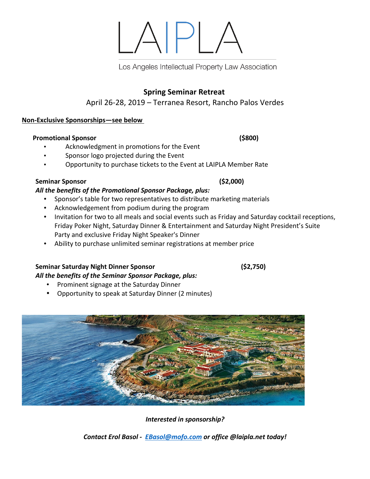# **Spring Seminar Retreat**

# April 26-28, 2019 – Terranea Resort, Rancho Palos Verdes

#### **Non-Exclusive Sponsorships—see below**

#### **Promotional Sponsor** (\$800)

- Acknowledgment in promotions for the Event
- Sponsor logo projected during the Event
- Opportunity to purchase tickets to the Event at LAIPLA Member Rate

#### **Seminar Sponsor (\$2,000)**

### All the benefits of the Promotional Sponsor Package, plus:

- Sponsor's table for two representatives to distribute marketing materials
- Acknowledgement from podium during the program
- Invitation for two to all meals and social events such as Friday and Saturday cocktail receptions, Friday Poker Night, Saturday Dinner & Entertainment and Saturday Night President's Suite Party and exclusive Friday Night Speaker's Dinner
- Ability to purchase unlimited seminar registrations at member price

### **Seminar Saturday Night Dinner Sponsor (\$2,750)**

### All the benefits of the Seminar Sponsor Package, plus:

- Prominent signage at the Saturday Dinner
- Opportunity to speak at Saturday Dinner (2 minutes)



# **Interested in sponsorship?**

**Contact Erol Basol - <b>EBasol@mofo.com** or office @laipla.net today!